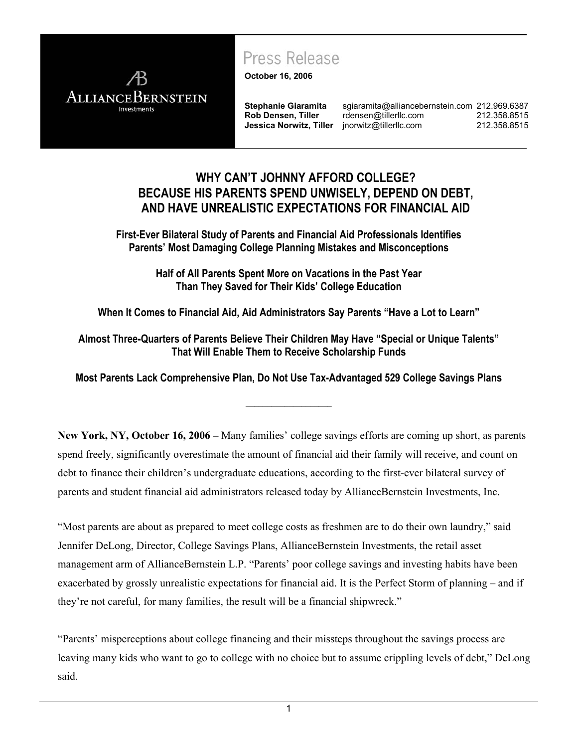

### Press Release

**October 16, 2006**

**Rob Densen, Tiller Jessica Norwitz, Tiller**

**Stephanie Giaramita** sgiaramita@alliancebernstein.com 212.969.6387 rdensen@tillerllc.com [jnorwitz@tillerllc.com](mailto:rdensen@tillerllc.com) 212.358.8515 212.358.8515

### **WHY CANíT JOHNNY AFFORD COLLEGE? BECAUSE HIS PARENTS SPEND UNWISELY, DEPEND ON DEBT, AND HAVE UNREALISTIC EXPECTATIONS FOR FINANCIAL AID**

**First-Ever Bilateral Study of Parents and Financial Aid Professionals Identifies Parentsí Most Damaging College Planning Mistakes and Misconceptions** 

> **Half of All Parents Spent More on Vacations in the Past Year Than They Saved for Their Kids' College Education**

When It Comes to Financial Aid, Aid Administrators Say Parents "Have a Lot to Learn"

Almost Three-Quarters of Parents Believe Their Children May Have "Special or Unique Talents" **That Will Enable Them to Receive Scholarship Funds** 

**Most Parents Lack Comprehensive Plan, Do Not Use Tax-Advantaged 529 College Savings Plans** 

**\_\_\_\_\_\_\_\_\_\_\_\_\_\_\_\_\_\_\_\_** 

New York, NY, October 16, 2006 – Many families' college savings efforts are coming up short, as parents spend freely, significantly overestimate the amount of financial aid their family will receive, and count on debt to finance their children's undergraduate educations, according to the first-ever bilateral survey of parents and student financial aid administrators released today by AllianceBernstein Investments, Inc.

"Most parents are about as prepared to meet college costs as freshmen are to do their own laundry," said Jennifer DeLong, Director, College Savings Plans, AllianceBernstein Investments, the retail asset management arm of AllianceBernstein L.P. "Parents' poor college savings and investing habits have been exacerbated by grossly unrealistic expectations for financial aid. It is the Perfect Storm of planning  $-$  and if they're not careful, for many families, the result will be a financial shipwreck."

ìParentsí misperceptions about college financing and their missteps throughout the savings process are leaving many kids who want to go to college with no choice but to assume crippling levels of debt," DeLong said.

1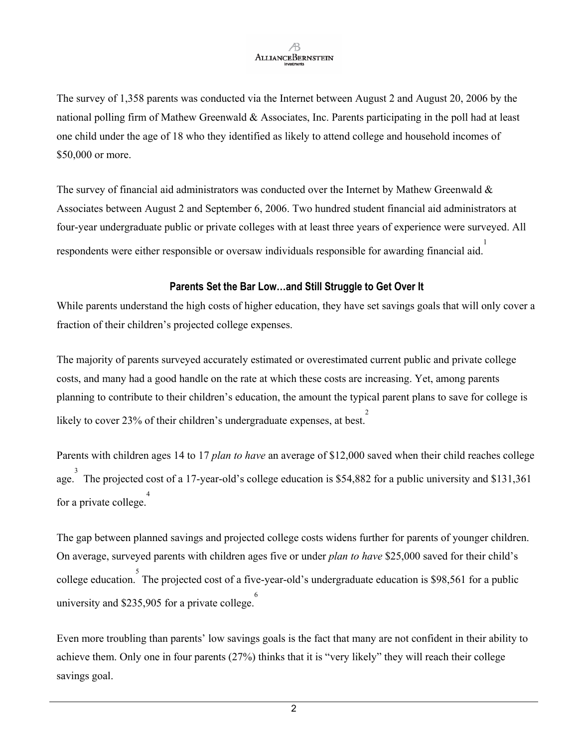The survey of 1,358 parents was conducted via the Internet between August 2 and August 20, 2006 by the national polling firm of Mathew Greenwald & Associates, Inc. Parents participating in the poll had at least one child under the age of 18 who they identified as likely to attend college and household incomes of \$50,000 or more.

The survey of financial aid administrators was conducted over the Internet by Mathew Greenwald  $\&$ Associates between August 2 and September 6, 2006. Two hundred student financial aid administrators at four-year undergraduate public or private colleges with at least three years of experience were surveyed. All respondents were either responsible or oversaw individuals responsible for awarding financial aid. 1

#### Parents Set the Bar Low...and Still Struggle to Get Over It

While parents understand the high costs of higher education, they have set savings goals that will only cover a fraction of their children's projected college expenses.

The majority of parents surveyed accurately estimated or overestimated current public and private college costs, and many had a good handle on the rate at which these costs are increasing. Yet, among parents planning to contribute to their children's education, the amount the typical parent plans to save for college is likely to cover 23% of their children's undergraduate expenses, at best.

Parents with children ages 14 to 17 *plan to have* an average of \$12,000 saved when their child reaches college <sup>3</sup><br>age. The projected cost of a 17-year-old's college education is \$54,882 for a public university and \$131,361 for a private college. 4

The gap between planned savings and projected college costs widens further for parents of younger children. On average, surveyed parents with children ages five or under *plan to have* \$25,000 saved for their child's college education. The projected cost of a five-year-old's undergraduate education is \$98,561 for a public <sup>6</sup><br>university and \$235,905 for a private college.

Even more troubling than parents' low savings goals is the fact that many are not confident in their ability to achieve them. Only one in four parents  $(27%)$  thinks that it is "very likely" they will reach their college savings goal.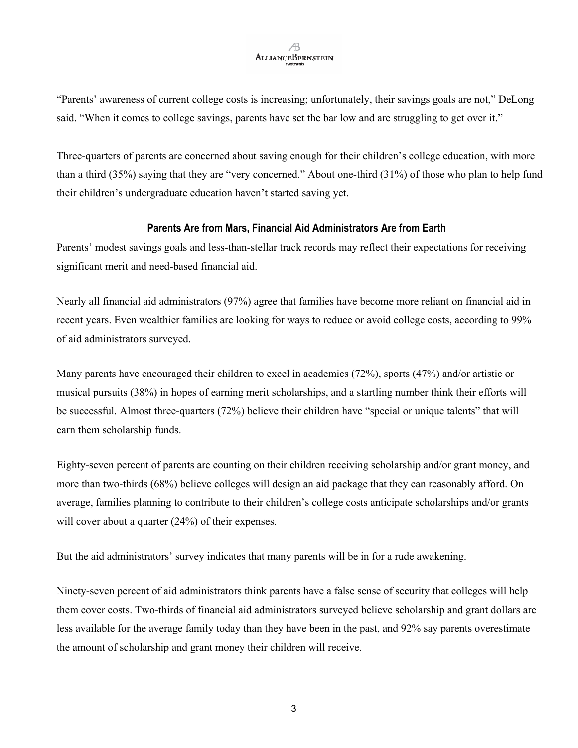ìParentsí awareness of current college costs is increasing; unfortunately, their savings goals are not,î DeLong said. "When it comes to college savings, parents have set the bar low and are struggling to get over it."

Three-quarters of parents are concerned about saving enough for their children's college education, with more than a third  $(35%)$  saying that they are "very concerned." About one-third  $(31%)$  of those who plan to help fund their children's undergraduate education haven't started saving yet.

### **Parents Are from Mars, Financial Aid Administrators Are from Earth**

Parents' modest savings goals and less-than-stellar track records may reflect their expectations for receiving significant merit and need-based financial aid.

Nearly all financial aid administrators (97%) agree that families have become more reliant on financial aid in recent years. Even wealthier families are looking for ways to reduce or avoid college costs, according to 99% of aid administrators surveyed.

Many parents have encouraged their children to excel in academics (72%), sports (47%) and/or artistic or musical pursuits (38%) in hopes of earning merit scholarships, and a startling number think their efforts will be successful. Almost three-quarters (72%) believe their children have "special or unique talents" that will earn them scholarship funds.

Eighty-seven percent of parents are counting on their children receiving scholarship and/or grant money, and more than two-thirds (68%) believe colleges will design an aid package that they can reasonably afford. On average, families planning to contribute to their children's college costs anticipate scholarships and/or grants will cover about a quarter (24%) of their expenses.

But the aid administrators' survey indicates that many parents will be in for a rude awakening.

Ninety-seven percent of aid administrators think parents have a false sense of security that colleges will help them cover costs. Two-thirds of financial aid administrators surveyed believe scholarship and grant dollars are less available for the average family today than they have been in the past, and 92% say parents overestimate the amount of scholarship and grant money their children will receive.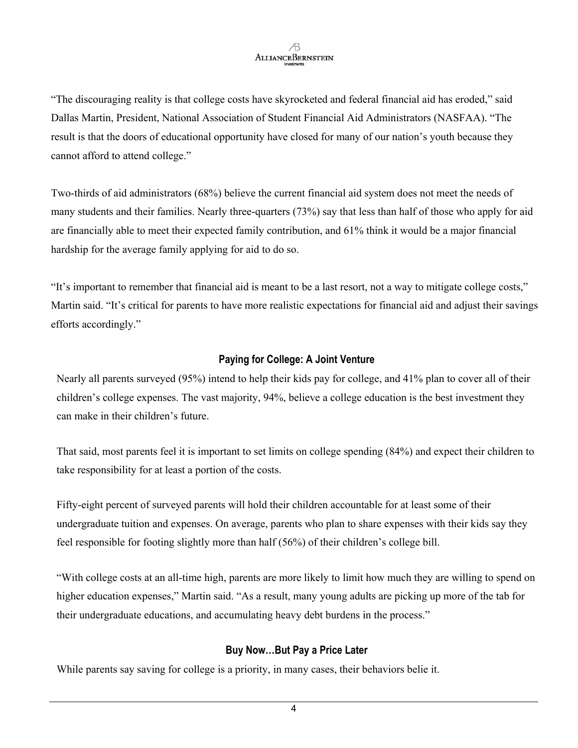"The discouraging reality is that college costs have skyrocketed and federal financial aid has eroded," said Dallas Martin, President, National Association of Student Financial Aid Administrators (NASFAA). "The result is that the doors of educational opportunity have closed for many of our nation's youth because they cannot afford to attend college."

Two-thirds of aid administrators (68%) believe the current financial aid system does not meet the needs of many students and their families. Nearly three-quarters (73%) say that less than half of those who apply for aid are financially able to meet their expected family contribution, and 61% think it would be a major financial hardship for the average family applying for aid to do so.

It's important to remember that financial aid is meant to be a last resort, not a way to mitigate college costs," Martin said. "It's critical for parents to have more realistic expectations for financial aid and adjust their savings efforts accordingly."

#### **Paying for College: A Joint Venture**

Nearly all parents surveyed (95%) intend to help their kids pay for college, and 41% plan to cover all of their children's college expenses. The vast majority, 94%, believe a college education is the best investment they can make in their children's future.

That said, most parents feel it is important to set limits on college spending (84%) and expect their children to take responsibility for at least a portion of the costs.

Fifty-eight percent of surveyed parents will hold their children accountable for at least some of their undergraduate tuition and expenses. On average, parents who plan to share expenses with their kids say they feel responsible for footing slightly more than half  $(56%)$  of their children's college bill.

ìWith college costs at an all-time high, parents are more likely to limit how much they are willing to spend on higher education expenses," Martin said. "As a result, many young adults are picking up more of the tab for their undergraduate educations, and accumulating heavy debt burdens in the process."

### **Buy Now...But Pay a Price Later**

While parents say saving for college is a priority, in many cases, their behaviors belie it.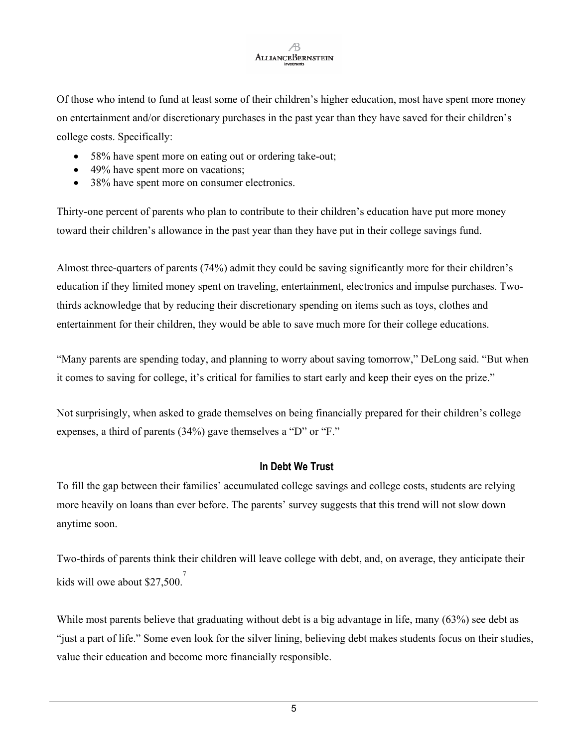Of those who intend to fund at least some of their children's higher education, most have spent more money on entertainment and/or discretionary purchases in the past year than they have saved for their children's college costs. Specifically:

- 58% have spent more on eating out or ordering take-out;
- 49% have spent more on vacations;
- 38% have spent more on consumer electronics.

Thirty-one percent of parents who plan to contribute to their children's education have put more money toward their children's allowance in the past year than they have put in their college savings fund.

Almost three-quarters of parents (74%) admit they could be saving significantly more for their children's education if they limited money spent on traveling, entertainment, electronics and impulse purchases. Twothirds acknowledge that by reducing their discretionary spending on items such as toys, clothes and entertainment for their children, they would be able to save much more for their college educations.

"Many parents are spending today, and planning to worry about saving tomorrow," DeLong said. "But when it comes to saving for college, it's critical for families to start early and keep their eyes on the prize."

Not surprisingly, when asked to grade themselves on being financially prepared for their children's college expenses, a third of parents  $(34%)$  gave themselves a "D" or "F."

#### **In Debt We Trust**

To fill the gap between their families' accumulated college savings and college costs, students are relying more heavily on loans than ever before. The parents' survey suggests that this trend will not slow down anytime soon.

Two-thirds of parents think their children will leave college with debt, and, on average, they anticipate their kids will owe about  $$27,500$ .

While most parents believe that graduating without debt is a big advantage in life, many (63%) see debt as ìjust a part of life.î Some even look for the silver lining, believing debt makes students focus on their studies, value their education and become more financially responsible.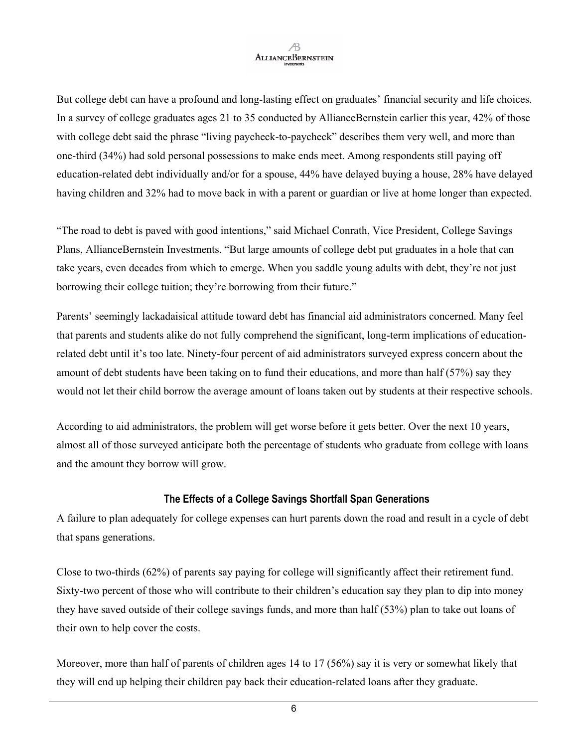But college debt can have a profound and long-lasting effect on graduates' financial security and life choices. In a survey of college graduates ages 21 to 35 conducted by AllianceBernstein earlier this year, 42% of those with college debt said the phrase "living paycheck-to-paycheck" describes them very well, and more than one-third (34%) had sold personal possessions to make ends meet. Among respondents still paying off education-related debt individually and/or for a spouse, 44% have delayed buying a house, 28% have delayed having children and 32% had to move back in with a parent or guardian or live at home longer than expected.

"The road to debt is paved with good intentions," said Michael Conrath, Vice President, College Savings Plans, AllianceBernstein Investments. "But large amounts of college debt put graduates in a hole that can take years, even decades from which to emerge. When you saddle young adults with debt, they're not just borrowing their college tuition; they're borrowing from their future."

Parents' seemingly lackadaisical attitude toward debt has financial aid administrators concerned. Many feel that parents and students alike do not fully comprehend the significant, long-term implications of educationrelated debt until it's too late. Ninety-four percent of aid administrators surveyed express concern about the amount of debt students have been taking on to fund their educations, and more than half (57%) say they would not let their child borrow the average amount of loans taken out by students at their respective schools.

According to aid administrators, the problem will get worse before it gets better. Over the next 10 years, almost all of those surveyed anticipate both the percentage of students who graduate from college with loans and the amount they borrow will grow.

#### **The Effects of a College Savings Shortfall Span Generations**

A failure to plan adequately for college expenses can hurt parents down the road and result in a cycle of debt that spans generations.

Close to two-thirds (62%) of parents say paying for college will significantly affect their retirement fund. Sixty-two percent of those who will contribute to their children's education say they plan to dip into money they have saved outside of their college savings funds, and more than half (53%) plan to take out loans of their own to help cover the costs.

Moreover, more than half of parents of children ages 14 to 17 (56%) say it is very or somewhat likely that they will end up helping their children pay back their education-related loans after they graduate.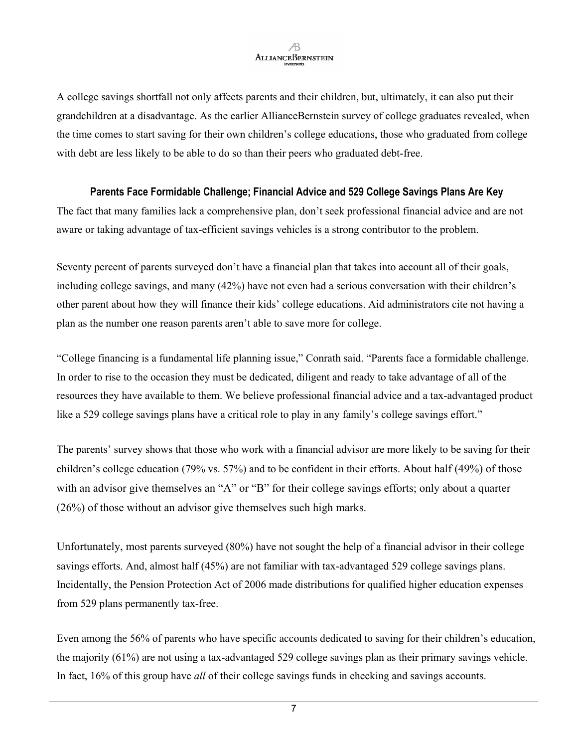A college savings shortfall not only affects parents and their children, but, ultimately, it can also put their grandchildren at a disadvantage. As the earlier AllianceBernstein survey of college graduates revealed, when the time comes to start saving for their own children's college educations, those who graduated from college with debt are less likely to be able to do so than their peers who graduated debt-free.

#### **Parents Face Formidable Challenge; Financial Advice and 529 College Savings Plans Are Key**

The fact that many families lack a comprehensive plan, don't seek professional financial advice and are not aware or taking advantage of tax-efficient savings vehicles is a strong contributor to the problem.

Seventy percent of parents surveyed don't have a financial plan that takes into account all of their goals, including college savings, and many  $(42%)$  have not even had a serious conversation with their children's other parent about how they will finance their kidsí college educations. Aid administrators cite not having a plan as the number one reason parents aren't able to save more for college.

"College financing is a fundamental life planning issue," Conrath said. "Parents face a formidable challenge. In order to rise to the occasion they must be dedicated, diligent and ready to take advantage of all of the resources they have available to them. We believe professional financial advice and a tax-advantaged product like a 529 college savings plans have a critical role to play in any family's college savings effort."

The parents' survey shows that those who work with a financial advisor are more likely to be saving for their children's college education (79% vs. 57%) and to be confident in their efforts. About half (49%) of those with an advisor give themselves an "A" or "B" for their college savings efforts; only about a quarter (26%) of those without an advisor give themselves such high marks.

Unfortunately, most parents surveyed (80%) have not sought the help of a financial advisor in their college savings efforts. And, almost half (45%) are not familiar with tax-advantaged 529 college savings plans. Incidentally, the Pension Protection Act of 2006 made distributions for qualified higher education expenses from 529 plans permanently tax-free.

Even among the 56% of parents who have specific accounts dedicated to saving for their children's education, the majority (61%) are not using a tax-advantaged 529 college savings plan as their primary savings vehicle. In fact, 16% of this group have *all* of their college savings funds in checking and savings accounts.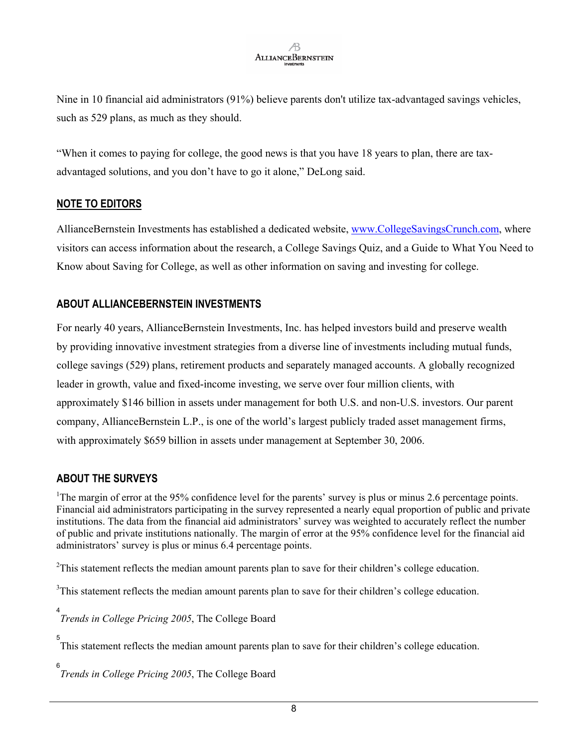Nine in 10 financial aid administrators (91%) believe parents don't utilize tax-advantaged savings vehicles, such as 529 plans, as much as they should.

ìWhen it comes to paying for college, the good news is that you have 18 years to plan, there are taxadvantaged solutions, and you don't have to go it alone," DeLong said.

#### **NOTE TO EDITORS**

AllianceBernstein Investments has established a dedicated website, [www.CollegeSavingsCrunch](http://www.collegesavingscrunch/).com, where visitors can access information about the research, a College Savings Quiz, and a Guide to What You Need to Know about Saving for College, as well as other information on saving and investing for college.

### **ABOUT ALLIANCEBERNSTEIN INVESTMENTS**

For nearly 40 years, AllianceBernstein Investments, Inc. has helped investors build and preserve wealth by providing innovative investment strategies from a diverse line of investments including mutual funds, college savings (529) plans, retirement products and separately managed accounts. A globally recognized leader in growth, value and fixed-income investing, we serve over four million clients, with approximately \$146 billion in assets under management for both U.S. and non-U.S. investors. Our parent company, AllianceBernstein L.P., is one of the world's largest publicly traded asset management firms, with approximately \$659 billion in assets under management at September 30, 2006.

#### **ABOUT THE SURVEYS**

<sup>1</sup>The margin of error at the 95% confidence level for the parents' survey is plus or minus 2.6 percentage points. Financial aid administrators participating in the survey represented a nearly equal proportion of public and private institutions. The data from the financial aid administrators' survey was weighted to accurately reflect the number of public and private institutions nationally. The margin of error at the 95% confidence level for the financial aid administrators' survey is plus or minus 6.4 percentage points.

 $2$ This statement reflects the median amount parents plan to save for their children's college education.

 $3$ This statement reflects the median amount parents plan to save for their children's college education.

4 *Trends in College Pricing 2005*, The College Board

5 This statement reflects the median amount parents plan to save for their children's college education.

6 *Trends in College Pricing 2005*, The College Board